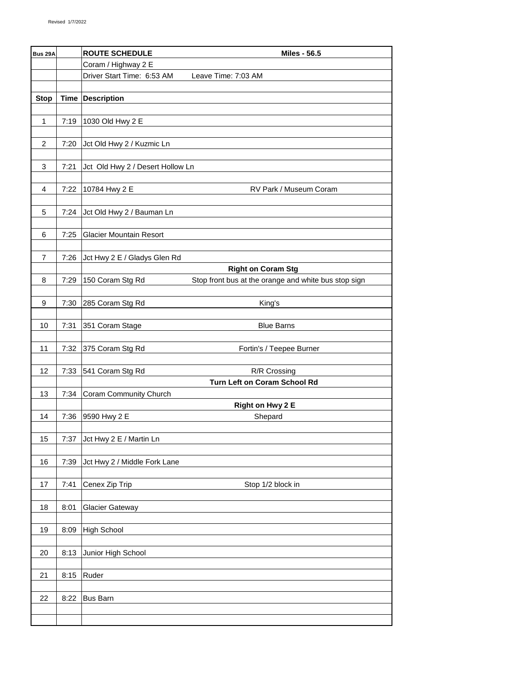| Bus 29A        |      | <b>ROUTE SCHEDULE</b><br><b>Miles - 56.5</b>                             |
|----------------|------|--------------------------------------------------------------------------|
|                |      | Coram / Highway 2 E                                                      |
|                |      | Driver Start Time: 6:53 AM<br>Leave Time: 7:03 AM                        |
|                |      |                                                                          |
| <b>Stop</b>    |      | Time   Description                                                       |
|                |      |                                                                          |
| $\mathbf{1}$   | 7:19 | 1030 Old Hwy 2 E                                                         |
|                |      |                                                                          |
| 2              | 7:20 | Jct Old Hwy 2 / Kuzmic Ln                                                |
|                |      |                                                                          |
| 3              | 7:21 | Jct Old Hwy 2 / Desert Hollow Ln                                         |
|                |      |                                                                          |
| 4              | 7:22 | 10784 Hwy 2 E<br>RV Park / Museum Coram                                  |
|                |      |                                                                          |
| $\mathbf 5$    | 7:24 | Jct Old Hwy 2 / Bauman Ln                                                |
|                |      |                                                                          |
| 6              | 7:25 | Glacier Mountain Resort                                                  |
|                |      |                                                                          |
| $\overline{7}$ | 7:26 | Jct Hwy 2 E / Gladys Glen Rd                                             |
|                |      | <b>Right on Coram Stg</b>                                                |
| 8              | 7:29 | 150 Coram Stg Rd<br>Stop front bus at the orange and white bus stop sign |
|                |      |                                                                          |
| 9              | 7:30 | 285 Coram Stg Rd<br>King's                                               |
|                |      |                                                                          |
| 10             | 7:31 |                                                                          |
|                |      | 351 Coram Stage<br><b>Blue Barns</b>                                     |
|                |      |                                                                          |
| 11             | 7:32 | 375 Coram Stg Rd<br>Fortin's / Teepee Burner                             |
| 12             | 7:33 |                                                                          |
|                |      | 541 Coram Stg Rd<br>R/R Crossing                                         |
|                |      | Turn Left on Coram School Rd                                             |
| 13             | 7:34 | <b>Coram Community Church</b>                                            |
|                |      | Right on Hwy 2 E                                                         |
| 14             | 7:36 | Shepard<br>9590 Hwy 2 E                                                  |
|                |      |                                                                          |
| 15             | 7:37 | Jct Hwy 2 E / Martin Ln                                                  |
|                |      |                                                                          |
| 16             | 7:39 | Jct Hwy 2 / Middle Fork Lane                                             |
|                |      |                                                                          |
| 17             | 7:41 | Cenex Zip Trip<br>Stop 1/2 block in                                      |
|                |      |                                                                          |
| 18             | 8:01 | <b>Glacier Gateway</b>                                                   |
|                |      |                                                                          |
| 19             | 8:09 | <b>High School</b>                                                       |
|                |      |                                                                          |
| 20             | 8:13 | Junior High School                                                       |
|                |      |                                                                          |
| 21             | 8:15 | Ruder                                                                    |
|                |      |                                                                          |
| 22             | 8:22 | <b>Bus Barn</b>                                                          |
|                |      |                                                                          |
|                |      |                                                                          |